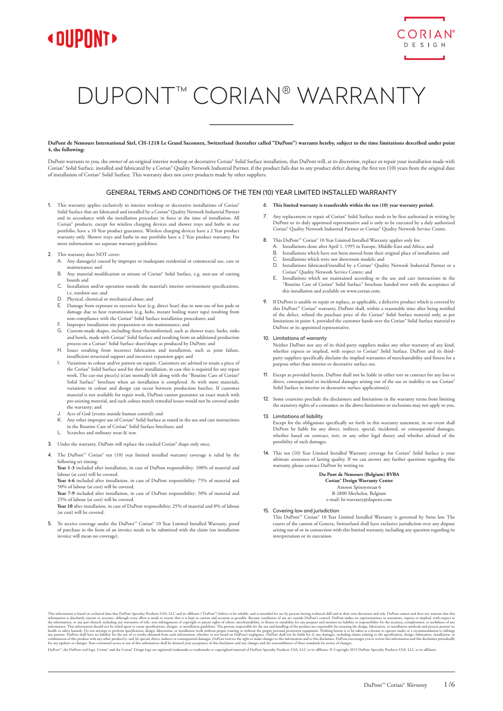



# DUPONT™ CORIAN® WARRANTY

**DuPont de Nemours International Sàrl, CH-1218 Le Grand Saconnex, Switzerland (hereafter called "DuPont") warrants hereby, subject to the time limitations described under point 4, the following:**

DuPont warrants to you, the owner of an original interior worktop or decorative Corian® Solid Surface installation, that DuPont will, at its discretion, replace or repair your installation made with Corian® Solid Surface, installed and fabricated by a Corian® Quality Network Industrial Partner, if the product fails due to any product defect during the first ten (10) years from the original date of installation of Corian® Solid Surface. This warranty does not cover products made by other suppliers.

## GENERAL TERMS AND CONDITIONS OF THE TEN (10) YEAR LIMITED INSTALLED WARRANTY

1. This warranty applies exclusively to interior worktop or decorative installations of Corian® Solid Surface that are fabricated and installed by a Corian® Quality Network Industrial Partner and in accordance with the installation procedure in force at the time of installation. All Corian® products, except for wireless charging devices and shower trays and baths in our portfolio, have a 10 Year product guarantee. Wireless charging devices have a 2 Year product warranty only. Shower trays and baths in our portfolio have a 2 Year product warranty. For more information: see separate warranty guidelines.

### 2. This warranty does NOT cover:

- A. Any damage(s) caused by improper or inadequate residential or commercial use, care or maintenance; and
- B. Any material modification or misuse of Corian® Solid Surface, e.g. non-use of cutting boards and
- C. Installation and/or operation outside the material's interior environment specifications, i.e. outdoor use; and
- D. Physical, chemical or mechanical abuse; and<br>E. Damage from exposure to excessive heat (e.g.
- E. Damage from exposure to excessive heat (e.g. direct heat) due to non-use of hot pads or damage due to heat transmission (e.g. hobs, instant boiling water taps) resulting from non-compliance with the Corian® Solid Surface installation procedures; and
- F. Improper installation site preparation or site maintenance; and<br>  $G$  Custom-made shapes, including those thermoformed, such as
- G. Custom-made shapes, including those thermoformed, such as shower trays, baths, sinks and bowls, made with Corian® Solid Surface and resulting from an additional production process on a Corian® Solid Surface sheet/shape as produced by DuPont; and
- H. Issues resulting from incorrect fabrication and installation, such as joint failure, insufficient structural support and incorrect expansion gaps; and I. Variations in colour and/or pattern on repairs. Customers are advised to retain a piece of
- the Corian® Solid Surface used for their installation, in case this is required for any work. The cut-out piece(s) is/are normally left along with the "Routine Care of Corian" Solid Surface" brochure when an installation is completed. As with most materials, variations in colour and design can occur between production batches. If customer material is not available for repair work, DuPont cannot guarantee an exact match with pre-existing material, and such colour-match remedial issues would not be covered under the warranty; and
- J. Acts of God (events outside human control); and
- Any other improper use of Corian® Solid Surface as stated in the use and care instructions in the Routine Care of Corian® Solid Surface brochure; and
- L. Scratches and ordinary wear & tear.
- 3. Under the warranty, DuPont will replace the cracked Corian® shape only once.
- 4. The DuPont™ Corian® ten (10) year limited installed warranty coverage is ruled by the following set timing:

Year 1-3 included after installation, in case of DuPont responsibility: 100% of material and labour (at cost) will be covered.

Year 4-6 included after installation, in case of DuPont responsibility: 75% of material and 50% of labour (at cost) will be covered. Year 7-9 included after installation, in case of DuPont responsibility: 50% of material and

25% of labour (at cost) will be covered.

**Year 10** after installation, in case of DuPont responsibility: 25% of material and 0% of labour (at cost) will be covered.

5. To receive coverage under the DuPont™ Corian® 10 Year Limited Installed Warranty, proof of purchase in the form of an invoice needs to be submitted with the claim (no installation invoice will mean no coverage).

- 6. **This limited warranty is transferable within the ten (10) year warranty period.**
- Any replacement or repair of Corian® Solid Surface needs to be first authorised in writing by DuPont or its duly appointed representative and is only to be executed by a duly authoris Corian® Quality Network Industrial Partner or Corian® Quality Network Service Centre.
- 8. This DuPont™ Corian® 10 Year Limited Installed Warranty applies only for:
	- A. Installations done after April 1, 1995 in Europe, Middle-East and Africa; and Africa; and Africa; and Africa; and Africa; and Africa; and Africa; and Africa; and Africa; and Africa; and Africa; and Africa; and Africa; a
	- Installations which have not been moved from their original place of installation; and
	- C. Installations which were not showroom models; and<br>D. Installations fabricated/installed by a Corian® Oual
	- Installations fabricated/installed by a Corian® Quality Network Industrial Partner or a Corian® Quality Network Service Centre; and
	- E. Installations which are maintained according to the use and care instructions in the Routine Care of Corian® Solid Surface" brochure handed over with the acceptance of this installation and available on www.corian.com.
- 9. If DuPont is unable to repair or replace, as applicable, a defective product which is covered by this DuPont™ Corian® warranty, DuPont shall, within a reasonable time after being notified of the defect, refund the purchase price of the Corian® Solid Surface material only, as per limitations in point 4, provided the customer hands over the Corian® Solid Surface material to DuPont or its appointed representative.

## 10. Limitations of warranty

Neither DuPont nor any of its third-party suppliers makes any other warranty of any kind, whether express or implied, with respect to Corian® Solid Surface. DuPont and its thirdparty suppliers specifically disclaim the implied warranties of merchantability and fitness for a purpose other than interior or decorative surface use.

- 11. Except as provided herein, DuPont shall not be liable in either tort or contract for any loss or direct, consequential or incidental damages arising out of the use or inability to use Corian® Solid Surface in interior or decorative surface application(s).
- 12. Some countries preclude the disclaimers and limitations in the warranty terms from limiting the statutory rights of a consumer, so the above limitations or exclusions may not apply to you.
- 13. Limitations of liability

Except for the obligations specifically set forth in this warranty statement, in no event shall DuPont be liable for any direct, indirect, special, incidental, or consequential damages, whether based on contract, tort, or any other legal theory and whether advised of the possibility of such damages.

14. This ten (10) Year Limited Installed Warranty coverage for Corian® Solid Surface is your ultimate assurance of lasting quality. If we can answer any further questions regarding this warranty, please contact DuPont by writing to:

## **Du Pont de Nemours (Belgium) BVBA**

**Corian® Design Warranty Centre** Antoon Spinoystraat 6

B-2800 Mechelen, Belgium

e-mail: bi-warranty@dupont.com

15. Covering law and jurisdiction

This DuPont™ Corian® 10 Year Limited Installed Warranty is governed by Swiss law. The courts of the canton of Geneva, Switzerland shall have exclusive jurisdiction over any dispute arising out of or in connection with this limited warranty, including any question regarding its interpretation or its execution.

This information is absolutely current or accurate, altohay be performed and that David and the secure of the secure of the secure of the secure of the secure of the secure conditions of use are outside Dalbon's control. D

DuPont", the DuPont oval logo, Corian" and the Corian" Design logo are registered trademarks or trademarks or convighted material of DuPont Specialty Products USA, LLC or its affiliares. © Convright 2019 DuPont Specialty P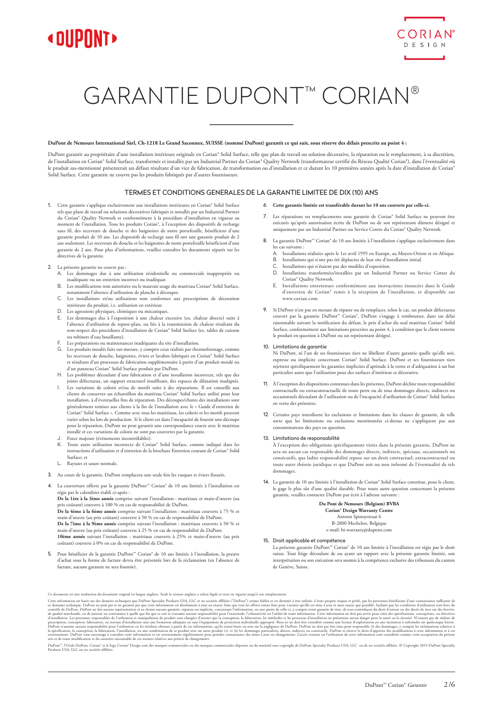



# GARANTIE DUPONT™ CORIAN®

## **DuPont de Nemours International Sàrl, Ch-1218 Le Grand Saconnex, SUISSE (nommé DuPont) garantit ce qui suit, sous réserve des délais prescrits au point 4 :**

DuPont garantit au propriétaire d'une installation intérieure originale en Corian® Solid Surface, telle que plan de travail ou solution décorative, la réparation ou le remplacement, à sa discrétion, de l'installation en Corian® Solid Surface, transformée et installée par un Industrial Partner du Corian® Quality Network (transformateur certifié du Réseau Qualité Corian®), dans l'éventualité où le produit sus-mentionné présenterait un défaut résultant d'un vice de fabrication, de transformation ou d'installation et ce durant les 10 premières années après la date d'installation de Corian® Solid Surface. Cette garantie ne couvre pas les produits fabriqués par d'autres fournisseurs.

## TERMES ET CONDITIONS GENERALES DE LA GARANTIE LIMITEE DE DIX (10) ANS

1. Cette garantie s'applique exclusivement aux installations intérieures en Corian® Solid Surface tels que plans de travail ou solutions décoratives fabriqués et installés par un Industrial Partner du Corian® Quality Network et conformément à la procédure d'installation en vigue moment de l'installation. Tous les produits Corian®, à l'exception des dispositifs de recharge sans fil, des receveurs de douche et des baignoires de notre portefeuille, bénéficient d'une garantie produit de 10 ans. Les dispositifs de recharge sans fil ont une garantie produit de 2 ans seulement. Les receveurs de douche et les baignoires de notre portefeuille bénéficient d'une garantie de 2 ans. Pour plus d'informations, veuillez consulter les documents séparés sur les ,<br>lirectives de la garantie.

## 2. La présente garantie ne couvre pas :

- A. Les dommages dus à une utilisation résidentielle ou commerciale inappropriée ou inadéquate ou un entretien incorrect ou inadéquat.
- B. Les modifications non autorisées ou le mauvais usage du matériau Corian® Solid Surface, notamment l'absence d'utilisation de planche à découper.
- C. Les installations et/ou utilisations non conformes aux prescriptions de décoration intérieure du produit, i.e. utilisation en extérieur.
- D. Les agressions physiques, chimiques ou mécaniques.
- E. Les dommages dus à l'exposition à une chaleur excessive (ex. chaleur directe) suite à l'absence d'utilisation de repose-plats, ou liés à la transmission de chaleur résultant du non-respect des procédures d'installation de Corian® Solid Surface (ex. tables de cuisson ou robinets d'eau bouillante).
- F. Les préparations ou maintenances inadéquates du site d'installation.<br>G. Les produits moulés faits sur-mesure, y compris ceux réalisés par the
- Les produits moulés faits sur-mesure, y compris ceux réalisés par thermoformage, comme les receveurs de douche, baignoires, éviers et lavabos fabriqués en Corian® Solid Surface et résultant d'un processus de fabrication supplémentaire à partir d'un produit moulé ou d'un panneau Corian® Solid Surface produit par DuPont.
- H. Les problèmes découlant d'une fabrication et d'une installation incorrecte, tels que des joints défectueux, un support structurel insuffisant, des espaces de dilatation inadaptés.
- I. Les variations de coloris et/ou de motifs suite à des réparations. Il est conseillé aux clients de conserver un échantillon du matériau Corian® Solid Surface utilisé pour leur installation, à d'éventuelles fins de réparation. Des découpes/chutes des installations sont généralement remises aux clients à la fin de l'installation avec le « Guide d'entretien de Corian® Solid Surface ». Comme avec tous les matériaux, les coloris et les motifs peuvent varier selon les lots de production. Si le client est dans l'incapacité de fournir une découpe pour la réparation, DuPont ne peut garantir une correspondance exacte avec le matériau installé et ces variations de coloris ne sont pas couvertes par la garantie.
- J. Force majeure (événements incontrôlables).<br>
K. Toute autre utilisation incorrecte de Coris
- Toute autre utilisation incorrecte de Corian® Solid Surface, comme indiqué dans les instructions d'utilisation et d'entretien de la brochure Entretien courant de Corian® Solid Surface; et
- L. Rayures et usure normale.
- 3. Au cours de la garantie, DuPont remplacera une seule fois les vasques et éviers fissurés.
- 4. La couverture offerte par la garantie DuPont™ Corian® de 10 ans limitée à l'installation est régie par le calendrier établi ci-après :

**De la 1ère à la 3ème année** comprise suivant l'installation : matériaux et main-d'œuvre (au prix coûtant) couverts à 100 % en cas de responsabilité de DuPont.

**De la 4ème à la 6ème année** comprise suivant l'installation : matériaux couverts à 75 % et main-d'œuvre (au prix coûtant) couverte à 50 % en cas de responsabilité de DuPont.

**De la 7ème à la 9ème année** comprise suivant l'installation : matériaux couverts à 50 % et main-d'œuvre (au prix coûtant) couverte à 25 % en cas de responsabilité de DuPont. **10ème année** suivant l'installation : matériaux couverts à 25% et main-d'œuvre (au prix

coûtant) couverte à 0% en cas de responsabilité de DuPont.

5. Pour bénéficier de la garantie DuPont™ Corian® de 10 ans limitée à l'installation, la preuve d'achat sous la forme de facture devra être présentée lors de la réclamation (en l'absence de facture, aucune garantie ne sera fournie).

#### 6. **Cette garantie limitée est transférable durant les 10 ans couverts par celle-ci.**

- 7. Les réparations ou remplacements sous garantie de Corian® Solid Surface ne peuvent être exécutés qu'après autorisation écrite de DuPont ou de son représentant dûment désigné et uniquement par un Industrial Partner ou Service Centre du Corian® Quality Network.
- 8. La garantie DuPont™ Corian® de 10 ans limitée à l'installation s'applique exclusivement dans les cas suivants :
	- A. Installations réalisées après le 1er avril 1995 en Europe, au Moyen-Orient et en Afrique.<br>B. Installations qui n'ont pas été déplacées de leur site d'installation initial.
	- B. Installations qui n'ont pas été déplacées de leur site d'installation initial. C. Installations qui n'étaient pas des modèles d'exposition.
	-
	- D. Installations transformées/installées par un Industrial Partner ou Service Center du Corian® Quality Network.
	- E. Installations entretenues conformément aux instructions énoncées dans le Guide d'entretien de Corian® remis à la réception de l'installation, et disponible sur www.corian.com.
- 9. Si DuPont n'est pas en mesure de réparer ou de remplacer, selon le cas, un produit défectueux couvert par la garantie DuPont™ Corian®, DuPont s'engage à rembourser, dans un délai<br>raisonnable suivant la notification du défaut, le prix d'achat du seul matériau Corian® Solid Surface, conformément aux limitations prescrites au point 4, à condition que le client remette le produit en question à DuPont ou un représentant désigné.

#### 10. Limitations de garantie

Ni DuPont, ni l'un de ses fournisseurs tiers ne libellent d'autre garantie quelle qu'elle soit, expresse ou implicite concernant Corian® Solid Surface. DuPont et ses fourn rejettent spécifiquement les garanties implicites d'aptitude à la vente et d'adéquation à un but particulier autre que l'utilisation pour des surfaces d'intérieur et décorative.

- 11. À l'exception des dispositions contenues dans les présentes, DuPont décline toute responsabilité contractuelle ou extracontractuelle de toute perte ou de tous dommages directs, indirects ou<br>occasionnels découlant de l'utilisation ou de l'incapacité d'utilisation de Corian® Solid Surface en vertu des présentes.
- 12. Certains pays interdisent les exclusions et limitations dans les clauses de garantie, de telle sorte que les limitations ou exclusions mentionnées ci-dessus ne s'appliquent pas aux consommateurs des pays en question.

#### 13. Limitations de responsabilité

À l'exception des obligations spécifiquement visées dans la présente garantie, DuPont ne sera en aucun cas responsable des dommages directs, indirects, spéciaux, occasionnels ou consécutifs, que ladite responsabilité repose sur un droit contractuel, extracontractuel ou toute autre théorie juridique et que DuPont soit ou non informé de l'éventualité de tels dommages.

14. La garantie de 10 ans limitée à l'installation de Corian® Solid Surface constitue, pour le client, le gage le plus sûr d'une qualité durable. Pour toute autre question concernant la présente garantie, veuillez contacter DuPont par écrit à l'adresse suivante :

## **Du Pont de Nemours (Belgium) BVBA**

**Corian® Design Warranty Centre** Antoon Spinoystraat 6 B-2800 Mechelen, Belgique e-mail: bi-warranty@dupont.com

## 15. Droit applicable et compétence

La présente garantie DuPont™ Corian® de 10 ans limitée à l'installation est régie par le droit suisse. Tout litige découlant de ou ayant un rapport avec la présente garantie limitée, son interprétation ou son exécution sera soumis à la compétence exclusive des tribunaux du canton de Genève, Suisse.

Ce document est une traduction du document original en langue anglaise. Seule la version anglaise a valeur légale et reste en vigueur jusqu'à son remplacement.

Cette information es that do and es the dominal center stechniques que Duben Response the information of the soutier of Duben? Issue and the actual technique information of beneficial center information ending the set of d

DuPon", IOnde DuPont, Corian "el logo Corian" Design sont des marques commerciales ou des marques commerciales déposées ou du matériel sous copyright de DuPont Specialty Products USA, LLC ou de ses sociétés affiliées. © Co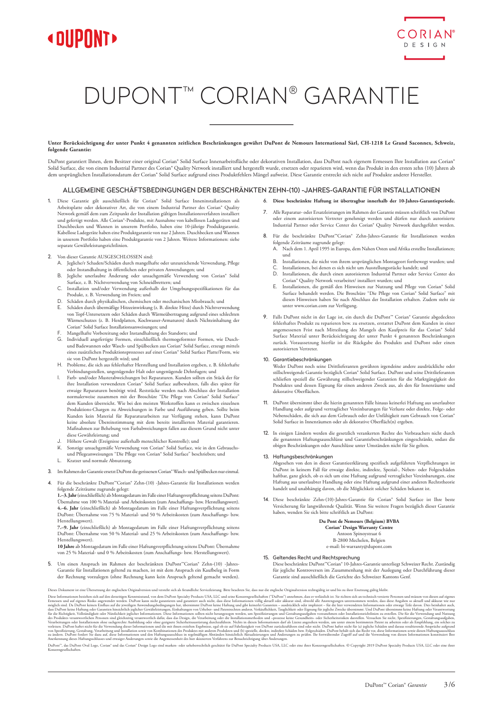



# DUPONT™ CORIAN® GARANTIE

**Unter Berücksichtigung der unter Punkt 4 genannten zeitlichen Beschränkungen gewährt DuPont de Nemours International Sàrl, CH-1218 Le Grand Saconnex, Schweiz, folgende Garantie:**

DuPont garantiert Ihnen, dem Besitzer einer original Corian® Solid Surface Innenarbeitsfläche oder dekorativen Installation, dass DuPont nach eigenem Ermessen Ihre Installation aus Corian® Solid Surface, die von einem Industrial Partner des Corian® Quality Network installiert und hergestellt wurde, ersetzen oder reparieren wird, wenn das Produkt in den ersten zehn (10) Jahren ab dem ursprünglichen Installationsdatum der Corian® Solid Surface aufgrund eines Produktfehlers Mängel aufweist. Diese Garantie erstreckt sich nicht auf Produkte anderer Hersteller.

## ALLGEMEINE GESCHÄFTSBEDINGUNGEN DER BESCHRÄNKTEN ZEHN-(10) -JAHRES-GARANTIE FÜR INSTALLATIONEN

1. Diese Garantie gilt ausschließlich für Corian® Solid Surface Inneninstallationen als Arbeitsplatte oder dekorativer Art, die von einem Industrial Partner des Corian® Quality Network gemäß dem zum Zeitpunkt der Installation gültigen Installationsverfahren installiert und gefertigt werden. Alle Corian®-Produkte, mit Ausnahme von kabellosen Ladegeräten und Duschbecken und Wannen in unserem Portfolio, haben eine 10-jährige Produktgarantie. Kabellose Ladegeräte haben eine Produktgarantie von nur 2 Jahren. Duschbecken und Wannen in unserem Portfolio haben eine Produktgarantie von 2 Jahren. Weitere Informationen: siehe separate Gewährleistungsrichtlinien.

## 2. Von dieser Garantie AUSGESCHLOSSEN sind:

- A. Jegliche/r Schaden/Schäden durch mangelhafte oder unzureichende Verwendung, Pflege oder Instandhaltung in öffentlichen oder privaten Anwendungen; und
- B. Jegliche unerlaubte Änderung oder unsachgemäße Verwendung von Corian® Solid Surface, z. B. Nichtverwendung von Schneidbrettern; und
- C. Installation und/oder Verwendung außerhalb der Umgebungsspezifikationen für das Produkt, z. B. Verwendung im Freien; und D. Schäden durch physikalischen, chemischen oder mechanischen Missbrauch; und
- 
- E. Schäden durch übermäßige Hitzeeinwirkung (z. B. direkte Hitze) durch Nichtverwendung von Topf-Untersetzern oder Schäden durch Wärmeübertragung aufgrund eines schlechten Wärmeschutzes (z. B. Herdplatten, Kochwasser-Armaturen) durch Nichteinhaltung der Corian® Solid Surface Installationsanweisungen; und
- 
- F. Mangelhafte Vorbereitung oder Instandhaltung des Standorts; und G. Individuell angefertigte Formen, einschließlich thermogeformter Formen, wie Duschund Badewannen oder Wasch- und Spülbecken aus Corian® Solid Surface, erzeugt mittels eines zusätzlichen Produktionsprozesses auf einer Corian® Solid Surface Platte/Form, wie sie von DuPont hergestellt wird; und
- Probleme, die sich aus fehlerhafter Herstellung und Installation ergeben, z. B. fehlerhafte Verbindungsstellen, ungenügender Halt oder ungenügende Dehnfugen; und
- I. Farb- und/oder Musterabweichungen bei Reparaturen. Kunden sollten ein Stück der für ihre Installation verwendeten Corian® Solid Surface aufbewahren, falls dies später für etwaige Reparaturen benötigt wird. Reststücke werden nach Abschluss der Installation normalerweise zusammen mit der Broschüre "Die Pflege von Corian® Solid Surface" dem Kunden überreicht. Wie bei den meisten Werkstoffen kann es zwischen einzelnen Produktions-Chargen zu Abweichungen in Farbe und Ausführung geben. Sollte beim Kunden kein Material für Reparaturarbeiten zur Verfügung stehen, kann DuPont keine absolute Übereinstimmung mit dem bereits installierten Material garantieren. Maßnahmen zur Behebung von Farbabweichungen fallen aus diesem Grund nicht unter diese Gewährleistung; und
- J. Höhere Gewalt (Ereignisse außerhalb menschlicher Kontrolle); und
- K. Sonstige unsachgemäße Verwendung von Corian® Solid Surface, wie in den Gebrauchsund Pflegeanweisungen "Die Pflege von Corian® Solid Surface" beschrieben; und Kratzer und normale Abnutzung.
- 

# 3. Im Rahmen der Garantie ersetzt DuPont die gerissenen Corian® Wasch- und Spülbecken nur einmal.

4. Für die beschränkte DuPont™Corian® Zehn-(10) -Jahres-Garantie für Installationen werden folgende Zeiträume zugrunde gelegt:

**1.–3. Jahr** (einschließlich) ab Montagedatum im Falle einer Haftungsverpflichtung seitens DuPont: Übernahme von 100 % Material- und Arbeitskosten (zum Anschaffungs- bzw. Herstellungswert). **4.–6. Jahr** (einschließlich) ab Montagedatum im Falle einer Haftungsverpflichtung seitens DuPont: Übernahme von 75 % Material- und 50 % Arbeitskosten (zum Anschaffungs- bzw. Herstellungswert).

**7.–9. Jahr** (einschließlich) ab Montagedatum im Falle einer Haftungsverpflichtung seitens DuPont: Übernahme von 50 % Material- und 25 % Arbeitskosten (zum Anschaffungs- bzw. ingswert).

**10 Jahre** ab Montagedatum im Falle einer Haftungsverpflichtung seitens DuPont: Übernahme von 25 % Material- und 0 % Arbeitskosten (zum Anschaffungs- bzw. Herstellungswert).

5. Um einen Anspruch im Rahmen der beschränkten DuPont™Corian® Zehn-(10) -Jahres-Garantie für Installationen geltend zu machen, ist mit dem Anspruch ein Kaufbeleg in Form der Rechnung vorzulegen (ohne Rechnung kann kein Anspruch geltend gemacht werden). 7. Alle Reparatur- oder Ersatzleistungen im Rahmen der Garantie müssen schriftlich von DuPont oder einem autorisierten Vertreter genehmigt werden und dürfen nur durch autorisierte Industrial Partner oder Service Center des Corian® Quality Network durchgeführt werden.

6. **Diese beschränkte Haftung ist übertragbar innerhalb der 10-Jahres-Garantieperiode.** 

- 8. Für die beschränkte DuPont™Corian® Zehn-Jahres-Garantie für Installationen werden folgende Zeiträume zugrunde gelegt: A. Nach dem 1. April 1995 in Europa, dem Nahen Osten und Afrika erstellte Installationen;
- und
- B. Installationen, die nicht von ihrem ursprünglichen Montageort fortbewegt wurden; und C. Installationen, bei denen es sich nicht um Ausstellungsstücke handelt; und
- D. Installationen, die durch einen autorisierten Industrial Partner oder Service Center des Corian® Quality Network verarbeitet/ installiert wurden; und
- E. Installationen, die gemäß den Hinweisen zur Nutzung und Pflege von Corian® Solid Surface behandelt werden. Die Broschüre "Die Pflege von Corian® Solid Surface" mit diesen Hinweisen haben Sie nach Abschluss der Installation erhalten. Zudem steht sie unter www.corian.com zur Verfügung.
- 9. Falls DuPont nicht in der Lage ist, ein durch die DuPont™ Corian® Garantie abgedecktes fehlerhaftes Produkt zu reparieren bzw. zu ersetzen, erstattet DuPont dem Kunden in einer angemessenen Frist nach Mitteilung des Mangels den Kaufpreis für das Corian® Solid Surface Material unter Berücksichtigung der unter Punkt 4 genannten Beschränkungen zurück. Voraussetzung hierfür ist die Rückgabe des Produkts and DuPont oder einen autorisierten Vertreter.

#### 10. Garantiebeschränkungen

Weder DuPont noch seine Drittlieferanten gewähren irgendeine andere ausdrückliche oder stillschweigende Garantie bezüglich Corian® Solid Surface. DuPont und seine Drittlieferanten schließen speziell die Gewährung stillschweigender Garantien für die Marktgängigkeit des Produktes und dessen Eignung für einen anderen Zweck aus, als den für Innenräume und dekorative Oberflächen.

- nt übernimmt über die hierin genannten Fälle hinaus keinerlei Haftung aus unerlaubter Handlung oder aufgrund vertraglicher Vereinbarungen für Verluste oder direkte, Folge- oder Nebenschäden, die sich aus dem Gebrauch oder der Unfähigkeit zum Gebrauch von Corian® Solid Surface in Innenräumen oder als dekorative Oberfläch(n) ergeben.
- 12. In einigen Ländern werden die gesetzlich verankerten Rechte des Verbrauchers nicht durch die genannten Haftungsausschlüsse und Garantiebeschränkungen eingeschränkt, sodass die obigen Beschränkungen oder Ausschlüsse unter Umständen nicht für Sie gelten.

## 13. Haftungsbeschränkungen

Abgesehen von den in dieser Garantieerklärung spezifisch aufgeführten Verpflichtungen ist DuPont in keinem Fall für etwaige direkte, indirekte, Spezial-, Neben- oder Folgeschäden haftbar, ganz gleich, ob es sich um eine Haftung aufgrund vertraglicher Vereinbarungen, eine Haftung aus unerlaubter Handlung oder eine Haftung aufgrund einer anderen Rechtstheorie handelt und unabhängig davon, ob die Möglichkeit solcher Schäden bekannt ist.

14. Diese beschränkte Zehn-(10)-Jahres-Garantie für Corian® Solid Surface ist Ihre beste Versicherung für langwährende Qualität. Wenn Sie weitere Fragen bezüglich dieser Garantie haben, wenden Sie sich bitte schriftlich an DuPont:

## **Du Pont de Nemours (Belgium) BVBA**

**Corian® Design Warranty Centre**

Antoon Spinoystraat 6 B-2800 Mechelen, Belgien

e-mail: bi-warranty@dupont.com

#### 15. Geltendes Recht und Rechtsprechung

Diese beschränkte DuPont™Corian® 10-Jahres-Garantie unterliegt Schweizer Recht. Zuständig für jegliche Kontroversen im Zusammenhang mit der Auslegung oder Durchführung dieser Garantie sind ausschließlich die Gerichte des Schweizer Kantons Genf.

Dies Informationen beiehen sich auf den derzeitgen Neuministand, won den tehn kehr auch Frankliche Serviceleiumg, Ritte becahlten Sie, also are die applicate and derivation receives the selection of the selection of the co

Dulbor", das Dulbor Oval Logo, Corian" und das Corian" Design Logo sind marken- oder unheberrechtlich geschützt für Dulbort Specialty Products USA, LLC oder eine inter Konzerngesellschaften. © Copyright 2019 Dulbort Specia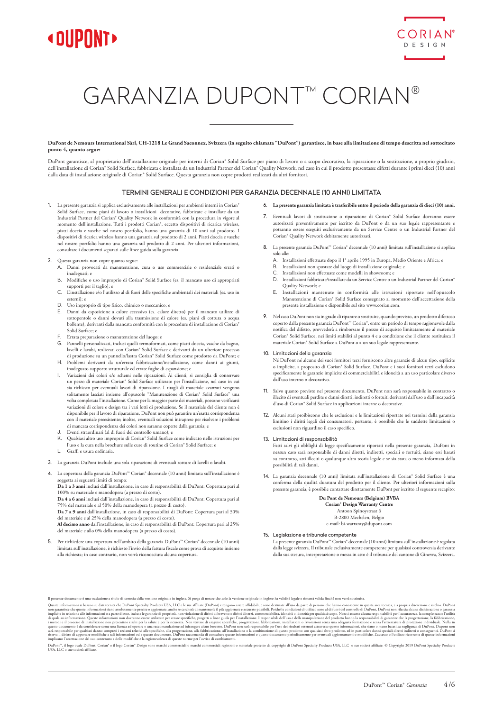



# GARANZIA DUPONT™ CORIAN®

**DuPont de Nemours International Sàrl, CH-1218 Le Grand Saconnex, Svizzera (in seguito chiamata "DuPont") garantisce, in base alla limitazione di tempo descritta nel sottocitato punto 4, quanto segue:**

DuPont garantisce, al proprietario dell'installazione originale per interni di Corian® Solid Surface per piano di lavoro o a scopo decorativo, la riparazione o la sostituzione, a proprio giudizio, dell'installazione di Corian® Solid Surface, fabbricata e installata da un Industrial Partner del Corian® Quality Network, nel caso in cui il prodotto presentasse difetti durante i primi dieci (10) anni dalla data di installazione originale di Corian® Solid Surface. Questa garanzia non copre prodotti realizzati da altri fornitori.

## TERMINI GENERALI E CONDIZIONI PER GARANZIA DECENNALE (10 ANNI) LIMITATA

1. La presente garanzia si applica esclusivamente alle installazioni per ambienti interni in Corian® Solid Surface, come piani di lavoro o installzioni decorative, fabbricate e installate da un Industrial Partner del Corian® Quality Network in conformità con la procedura in vigore al momento dell'installazione. Tutti i prodotti Corian®, eccetto dispositivi di ricarica wireless, piatti doccia e vasche nel nostro portfolio, hanno una garanzia di 10 anni sul prodotto. I dispositivi di ricarica wireless hanno una garanzia sul prodotto di 2 anni. Piatti doccia e vasche nel nostro portfolio hanno una garanzia sul prodotto di 2 anni. Per ulteriori informazioni, consultare i documenti separati sulle linee guida sulla garanzia.

### 2. Questa garanzia non copre quanto segue:

- A. Danni provocati da manutenzione, cura o uso commerciale o residenziale errati o inadeguati; e
- B. Modifiche o uso improprio di Corian® Solid Surface (es. il mancato uso di appropriati supporti per il taglio); e C. L'installazione e/o l'utilizzo al di fuori delle specifiche ambientali dei materiali (es. uso in
- esterni); e
- D. Uso improprio di tipo fisico, chimico o meccanico; e
- E. Danni da esposizione a calore eccessivo (es. calore diretto) per il mancato utilizzo di sottopentole o danni dovuti alla trasmissione di calore (es. piani di cottura o acqua bollente), derivanti dalla mancata conformità con le procedure di installazione di Corian® Solid Surface; e
- F. Errata preparazione o manutenzione del luogo; e
- Pannelli personalizzati, inclusi quelli termoformati, come piatti doccia, vasche da bagno, lavelli e lavabi, realizzati con Corian® Solid Surface e derivanti da un ulteriore proc di produzione su un pannello/lastra Corian® Solid Surface come prodotto da DuPont; e
- H. Problemi derivanti da un'errata fabbricazione/installazione, come danni ai giunti, inadeguato supporto strutturale ed errate fughe di espansione; e
- I. Variazioni dei colori e/o schemi nelle riparazioni. Ai clienti, si consiglia di conservare un pezzo di materiale Corian® Solid Surface utilizzato per l'installazione, nel caso in cui sia richiesto per eventuali lavori di riparazione. I ritagli di materiale avanzati vengono<br>solitamente lasciati insieme all'opuscolo "Manutenzione di Corian" Solid Surface" una volta completata l'installazione. Come per la maggior parte dei materiali, possono verificarsi variazioni di colore e design tra i vari lotti di produzione. Se il materiale del cliente non è disponibile per il lavoro di riparazione, DuPont non può garantire un'esatta corrispondenza con il materiale preesistente; inoltre, eventuali soluzioni intraprese per risolvere i problemi di mancata corrispondenza dei colori non saranno coperte dalla garanzia; e
- J. Eventi straordinari (al di fuori del controllo umano); e
- K. Qualsiasi altro uso improprio di Corian® Solid Surface come indicato nelle istruzioni per l'uso e la cura nella brochure sulle cure di routine di Corian® Solid Surface; e
- L. Graffi e usura ordinaria.
- 3. La garanzia DuPont include una sola riparazione di eventuali rotture di lavelli o lavabi.

### 4. La copertura della garanzia DuPont™ Corian® decennale (10 anni) limitata sull'installazione è getta ai seguenti limiti di tempo:

**Da 1 a 3 anni** inclusi dall'installazione, in caso di responsabilità di DuPont: Copertura pari al 100% su materiale e manodopera (a prezzo di costo).

**Da 4 a 6 anni** inclusi dall'installazione, in caso di responsabilità di DuPont: Copertura pari al 75% del materiale e al 50% della manodopera (a prezzo di costo).

**Da 7 a 9 anni** dall'installazione, in caso di responsabilità di DuPont: Copertura pari al 50% del materiale e al 25% della manodopera (a prezzo di costo).

**Al decimo anno** dall'installazione, in caso di responsabilità di DuPont: Copertura pari al 25% del materiale e allo 0% della manodopera (a prezzo di costo).

5. Per richiedere una copertura nell'ambito della garanzia DuPont™ Corian® decennale (10 anni) limitata sull'installazione, è richiesto l'invio della fattura fiscale come prova di acquisto insieme alla richiesta; in caso contrario, non verrà riconosciuta alcuna copertura.

- 6. **La presente garanzia limitata è trasferibile entro il periodo della garanzia di dieci (10) anni.**
- 7. Eventuali lavori di sostituzione o riparazione di Corian® Solid Surface dovranno essere autorizzati preventivamente per iscritto da DuPont o da un suo legale rappresentante e potranno essere eseguiti esclusivamente da un Service Centre o un Industrial Partner del Corian® Quality Network debitamente autorizzati.
- 8. La presente garanzia DuPont™ Corian® decennale (10 anni) limitata sull'installazione si applica solo alle:
	- A. Installazioni effettuate dopo il 1° aprile 1995 in Europa, Medio Oriente e Africa; e
	- B. Installazioni non spostate dal luogo di installazione originale; e
	- C. Installazioni non effettuate come modelli in showroom; e
	- Installazioni fabbricate/installate da un Service Centre o un Industrial Partner del Corian® Quality Network; e
	- E. Installazioni mantenute in conformità alle istruzioni riportate nell'opuscolo Manutenzione di Corian® Solid Surface consegnato al momento dell'accettazione della presente installazione e disponibile sul sito www.corian.com.
- 9. Nel caso DuPont non sia in grado di riparare o sostituire, quando previsto, un prodotto difettoso coperto dalla presente garanzia DuPont™ Corian®, entro un periodo di tempo ragionevole dalla notifica del difetto, provvederà a rimborsare il prezzo di acquisto limitatamente al materiale Corian® Solid Surface, nei limiti stabiliti al punto 4 e a condizione che il cliente restituisca il materiale Corian® Solid Surface a DuPont o a un suo legale rappresentante.

#### 10. Limitazioni della garanzia

Né DuPont né alcuno dei suoi fornitori terzi forniscono altre garanzie di alcun tipo, esplicite o implicite, a proposito di Corian® Solid Surface. DuPont e i suoi fornitori terzi escludono specificamente le garanzie implicite di commerciabilità e idoneità a un uso particolare diverso dall'uso interno o decorativo.

- 11. Salvo quanto previsto nel presente documento, DuPont non sarà responsabile in contratto o illecito di eventuali perdite o danni diretti, indiretti o fortuiti derivanti dall'uso o dall'incapacità d'uso di Corian® Solid Surface in applicazioni interne o decorative.
- 12. Alcuni stati proibiscono che le esclusioni e le limitazioni riportate nei termini della garanzia limitino i diritti legali dei consumatori, pertanto, è possibile che le suddette limitazioni o esclusioni non riguardino il caso specifico.

## 13. Limitazioni di responsabilità

Fatti salvi gli obblighi di legge specificamente riportati nella presente garanzia, DuPont in nessun caso sarà responsabile di danni diretti, indiretti, speciali o fortuiti, siano essi basati su contratto, atti illeciti o qualunque altra teoria legale e se sia stata o meno informata della possibilità di tali danni.

14. La garanzia decennale (10 anni) limitata sull'installazione di Corian® Solid Surface è una conferma della qualità duratura del prodotto per il cliente. Per ulteriori informazioni sulla presente garanzia, è possibile contattare direttamente DuPont per iscritto al seguente recapito:

### **Du Pont de Nemours (Belgium) BVBA**

**Corian® Design Warranty Centre**

Antoon Spinoystraat 6 B-2800 Mechelen, Belgio

e-mail: bi-warranty@dupont.com

#### 15. Legislazione e tribunale competente

La presente garanzia DuPont™ Corian® decennale (10 anni) limitata sull'installazione è regolata dalla legge svizzera. Il tribunale esclusivamente competente per qualsiasi controversia derivante dalla sua stesura, interpretazione o messa in atto è il tribunale del cantone di Ginevra, Svizzera.

Il present documento è un traduzione a triolo di correia della versione originale in ingles. Si pregne di notate estable in ingles in a velocity and trace in trace in trace in term and interest in the section of the sectio

DuPont", il logo ovale DuPont, Corian" of logo Corian" Design sono marchi commerciali o machi commerciali registrati o materiale protetto da copyright di DuPont Specialty Products USA, LLC o sue società affiliate. © Copyri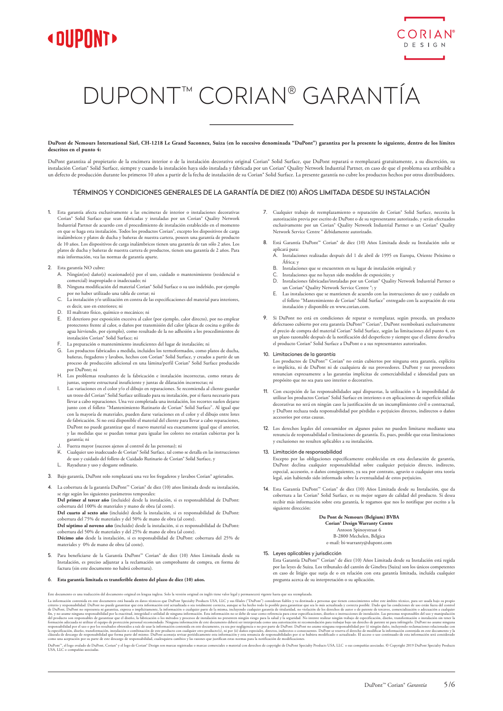



# DUPONT™ CORIAN® GARANTÍA

**DuPont de Nemours International Sàrl, CH-1218 Le Grand Saconnex, Suiza (en lo sucesivo denominada "DuPont") garantiza por la presente lo siguiente, dentro de los límites descritos en el punto 4:**

DuPont garantiza al propietario de la encimera interior o de la instalación decorativa original Corian® Solid Surface, que DuPont reparará o reemplazará gratuitamente, a su discreción, su instalación Corian® Solid Surface, siempre y cuando la instalación haya sido instalada y fabricada por un Corian® Quality Network Industrial Partner, en caso de que el problema sea atribuible a un defecto de producción durante los primeros 10 años a partir de la fecha de instalación de su Corian® Solid Surface. La presente garantía no cubre los productos hechos por otros distribuidores.

## TÉRMINOS Y CONDICIONES GENERALES DE LA GARANTÍA DE DIEZ (10) AÑOS LIMITADA DESDE SU INSTALACIÓN

- 1. Esta garantía afecta exclusivamente a las encimeras de interior o instalaciones decorativas Corian® Solid Surface que sean fabricadas y instaladas por un Corian® Quality Network Industrial Partner de acuerdo con el procedimiento de instalación establecido en el momento en que se haga esta instalación. Todos los productos Corian®, excepto los dispositivos de carga inalámbricos y platos de ducha y bañeras de nuestra cartera, poseen una garantía de producto de 10 años. Los dispositivos de carga inalámbricos tienen una garantía de tan sólo 2 años. Los platos de ducha y bañeras de nuestra cartera de productos, tienen una garantía de 2 años. Para más información, vea las normas de garantía aparte.
- 2. Esta garantía NO cubre:
	- A. Ningún(os) daño(s) ocasionado(s) por el uso, cuidado o mantenimiento (residencial o comercial) inapropiado o inadecuado; ni B. Ninguna modificación del material Corian® Solid Surface o su uso indebido, por ejemplo
	- por no haber utilizado una tabla de cortar; ni
	- C. La instalación y/o utilización en contra de las especificaciones del material para interiores, es decir, uso en exteriores; ni
	- D. El maltrato físico, químico o mecánico; ni
	- E. El deterioro por exposición excesiva al calor (por ejemplo, calor directo), por no emplear protectores frente al calor, o daños por transmisión del calor (placas de cocina o grifos de agua hirviendo, por ejemplo), como resultado de la no adhesión a los procedimientos de instalación Corian® Solid Surface; ni
	- F. La preparación o mantenimiento insuficientes del lugar de instalación; ni<br>G. Los productos fabricados a medida, incluidos los termoformados, como n
	- Los productos fabricados a medida, incluidos los termoformados, como platos de ducha, bañeras, fregaderos y lavabos, hechos con Corian® Solid Surface, y creados a partir de un<br>proceso de producción adicional en una lámina/perfil Corian® Solid Surface producido por DuPont; ni
	- H. Los problemas resultantes de la fabricación e instalación incorrectas, como rotura de juntas, soporte estructural insuficiente y juntas de dilatación incorrectas; ni
	- I. Las variaciones en el color y/o el dibujo en reparaciones. Se recomienda al cliente guardar un trozo del Corian® Solid Surface utilizado para su instalación, por si fuera necesario para llevar a cabo reparaciones. Una vez completada una instalación, los recortes suelen dejarse junto con el folleto "Mantenimiento Rutinario de Corian® Solid Surface". Al igual que con la mayoría de materiales, pueden darse variaciones en el color y el dibujo entre lotes de fabricación. Si no está disponible el material del cliente para llevar a cabo reparaciones, DuPont no puede garantizar que el nuevo material sea exactamente igual que el anterior, y las medidas que se puedan tomar para igualar los colores no estarían cubiertas por la .<br>garantía: ni
	- J. Fuerza mayor (sucesos ajenos al control de las personas); ni
	- Cualquier uso inadecuado de Corian® Solid Surface, tal como se detalla en las instrucciones de uso y cuidado del folleto de Cuidado Rutinario de Corian® Solid Surface, y
	- L. Rayaduras y uso y desgaste ordinario.
- 3. Bajo garantía, DuPont solo remplazará una vez los fregaderos y lavabos Corian® agrietados.
- 4. La cobertura de la garantía DuPont™ Corian® de diez (10) años limitada desde su instalación, se rige según los siguientes parámetros temporales:

**Del primer al tercer año** (incluido) desde la instalación, si es responsabilidad de DuPont: cobertura del 100% de materiales y mano de obra (al coste).

**Del cuarto al sexto año** (incluido) desde la instalación, si es responsabilidad de DuPont: cobertura del 75% de materiales y del 50% de mano de obra (al coste).

**Del séptimo al noveno año** (incluido) desde la instalación, si es responsabilidad de DuPont: cobertura del 50% de materiales y del 25% de mano de obra (al coste).

**Décimo año** desde la instalación, si es responsabilidad de DuPont: cobertura del 25% de materiales y 0% de mano de obra (al coste).

5. Para beneficiarse de la Garantía DuPont™ Corian® de diez (10) Años Limitada desde su Instalación, es preciso adjuntar a la reclamación un comprobante de compra, en forma de factura (sin este documento no habrá cobertura).

#### 6. **Esta garantía limitada es transferible dentro del plazo de diez (10) años.**

- 7. Cualquier trabajo de reemplazamiento o reparación de Corian® Solid Surface, necesita la autorización previa por escrito de DuPont o de su representante autorizado, y serán efectuados exclusivamente por un Corian® Quality Network Industrial Partner o un Corian® Quality Network Service Centre ® debidamente autorizado.
- 8. Está Garantía DuPont™ Corian® de diez (10) Años Limitada desde su Instalación solo se aplicará para:
	- A. Instalaciones realizadas después del 1 de abril de 1995 en Europa, Oriente Próximo o África; y
	- B. Instalaciones que se encuentren en su lugar de instalación original; y
	- C. Instalaciones que no hayan sido modelos de exposición; y
	- D. Instalaciones fabricadas/instaladas por un Corian® Quality Network Industrial Partner o un Corian® Quality Network Service Centre ®; y
	- E. Las instalaciones que se mantienen de acuerdo con las instrucciones de uso y cuidado en el folleto "Mantenimiento de Corian® Solid Surface" entregado con la aceptación de esta instalación y disponible en www.corian.com.
- 9. Si DuPont no está en condiciones de reparar o reemplazar, según proceda, un producto defectuoso cubierto por esta garantía DuPont™ Corian®, DuPont reembolsará exclusivamente el precio de compra del material Corian® Solid Surface, según las limitaciones del punto 4, en un plazo razonable después de la notificación del desperfecto y siempre que el cliente devuelva el producto Corian® Solid Surface a DuPont o a sus representantes autorizados.

# 10. Limitaciones de la garantía

Los productos de DuPont™ Corian® no están cubiertos por ninguna otra garantía, explícita o implícita, ni de DuPont ni de cualquiera de sus proveedores. DuPont y sus proveedores renuncian expresamente a las garantías implícitas de comerciabilidad e idoneidad para un propósito que no sea para uso interior o decorativo.

- 11. Con excepción de las responsabilidades aquí dispuestas, la utilización o la imposibilidad de utilizar los productos Corian® Solid Surface en interiores o en aplicaciones de superficie sólidas decorativas no será en ningún caso la justificación de un incumplimiento civil o contractual, y DuPont rechaza toda responsabilidad por pérdidas o perjuicios directos, indirectos o daños accesorios por estas causas.
- 12. Los derechos legales del consumidor en algunos países no pueden limitarse mediante una renuncia de responsabilidad o limitaciones de garantía. Es, pues, posible que estas limitaciones y exclusiones no resulten aplicables a su instalación.

#### 13. Limitación de responsabilidad

Excepto por las obligaciones específicamente establecidas en esta declaración de garantía, DuPont declina cualquier responsabilidad sobre cualquier perjuicio directo, indirecto, especial, accesorio, o daños consiguientes, ya sea por contrato, agravio o cualquier otra teoría legal, aún habiendo sido informado sobre la eventualidad de estos perjuicios.

14. Esta Garantía DuPont™ Corian® de diez (10) Años Limitada desde su Instalación, que da cobertura a las Corian® Solid Surface, es su mejor seguro de calidad del producto. Si desea recibir más información sobre esta garantía, le rogamos que nos lo notifique por escrito a la siguiente dirección:

## **Du Pont de Nemours (Belgium) BVBA**

**Corian® Design Warranty Centre**

Antoon Spinoystraat 6 B-2800 Mechelen, Bélgica

e-mail: bi-warranty@dupont.com

#### 15. Leyes aplicables y jurisdicción

Esta Garantía DuPont™ Corian® de diez (10) Años Limitada desde su Instalación está regida por las leyes de Suiza. Los tribunales del cantón de Ginebra (Suiza) son los únicos competentes en caso de litigio que surja de o en relación con esta garantía limitada, incluída cualquier pregunta acerca de su interpretación o su aplicación.

Este documento es una traducción el documento original en lengua inglesa. Solo la versión original en inglés tiene valor legal y permanecerí vigente hasta que sea reemplazada.<br>La información conservante orai basad en datos

DuPont", el logo ovalado de DuPont, Corian" y el logo de Corian" Design son marcas registradas o marcas comerciales o material con derechos de copyright de DuPont Specialty Products USA, LLC o sus compañías asociadas. © Co